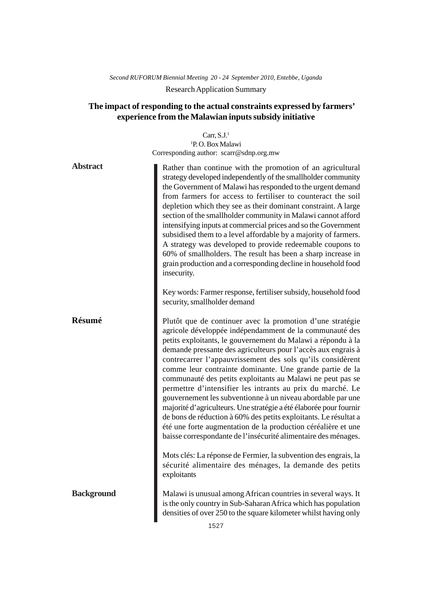# *Second RUFORUM Biennial Meeting 20 - 24 September 2010, Entebbe, Uganda* Research Application Summary

# **The impact of responding to the actual constraints expressed by farmers' experience from the Malawian inputs subsidy initiative**

| Rather than continue with the promotion of an agricultural<br>strategy developed independently of the smallholder community<br>the Government of Malawi has responded to the urgent demand<br>from farmers for access to fertiliser to counteract the soil<br>depletion which they see as their dominant constraint. A large<br>section of the smallholder community in Malawi cannot afford<br>intensifying inputs at commercial prices and so the Government<br>subsidised them to a level affordable by a majority of farmers.<br>A strategy was developed to provide redeemable coupons to<br>60% of smallholders. The result has been a sharp increase in<br>grain production and a corresponding decline in household food                                                                                                                                                                                           |
|----------------------------------------------------------------------------------------------------------------------------------------------------------------------------------------------------------------------------------------------------------------------------------------------------------------------------------------------------------------------------------------------------------------------------------------------------------------------------------------------------------------------------------------------------------------------------------------------------------------------------------------------------------------------------------------------------------------------------------------------------------------------------------------------------------------------------------------------------------------------------------------------------------------------------|
| Key words: Farmer response, fertiliser subsidy, household food                                                                                                                                                                                                                                                                                                                                                                                                                                                                                                                                                                                                                                                                                                                                                                                                                                                             |
| Plutôt que de continuer avec la promotion d'une stratégie<br>agricole développée indépendamment de la communauté des<br>petits exploitants, le gouvernement du Malawi a répondu à la<br>demande pressante des agriculteurs pour l'accès aux engrais à<br>contrecarrer l'appauvrissement des sols qu'ils considèrent<br>comme leur contrainte dominante. Une grande partie de la<br>communauté des petits exploitants au Malawi ne peut pas se<br>permettre d'intensifier les intrants au prix du marché. Le<br>gouvernement les subventionne à un niveau abordable par une<br>majorité d'agriculteurs. Une stratégie a été élaborée pour fournir<br>de bons de réduction à 60% des petits exploitants. Le résultat a<br>été une forte augmentation de la production céréalière et une<br>baisse correspondante de l'insécurité alimentaire des ménages.<br>Mots clés: La réponse de Fermier, la subvention des engrais, la |
| sécurité alimentaire des ménages, la demande des petits                                                                                                                                                                                                                                                                                                                                                                                                                                                                                                                                                                                                                                                                                                                                                                                                                                                                    |
| Malawi is unusual among African countries in several ways. It                                                                                                                                                                                                                                                                                                                                                                                                                                                                                                                                                                                                                                                                                                                                                                                                                                                              |
|                                                                                                                                                                                                                                                                                                                                                                                                                                                                                                                                                                                                                                                                                                                                                                                                                                                                                                                            |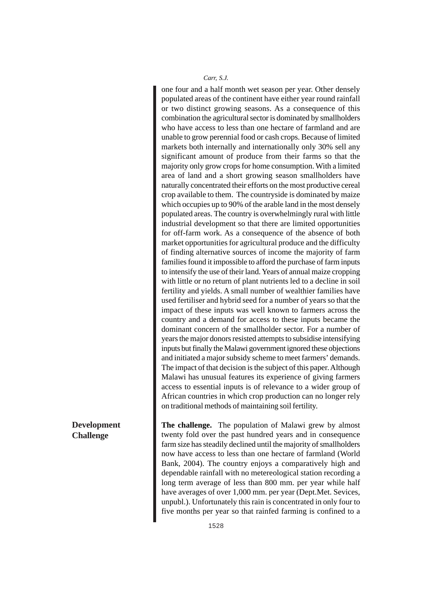one four and a half month wet season per year. Other densely populated areas of the continent have either year round rainfall or two distinct growing seasons. As a consequence of this combination the agricultural sector is dominated by smallholders who have access to less than one hectare of farmland and are unable to grow perennial food or cash crops. Because of limited markets both internally and internationally only 30% sell any significant amount of produce from their farms so that the majority only grow crops for home consumption. With a limited area of land and a short growing season smallholders have naturally concentrated their efforts on the most productive cereal crop available to them. The countryside is dominated by maize which occupies up to 90% of the arable land in the most densely populated areas. The country is overwhelmingly rural with little industrial development so that there are limited opportunities for off-farm work. As a consequence of the absence of both market opportunities for agricultural produce and the difficulty of finding alternative sources of income the majority of farm families found it impossible to afford the purchase of farm inputs to intensify the use of their land. Years of annual maize cropping with little or no return of plant nutrients led to a decline in soil fertility and yields. A small number of wealthier families have used fertiliser and hybrid seed for a number of years so that the impact of these inputs was well known to farmers across the country and a demand for access to these inputs became the dominant concern of the smallholder sector. For a number of years the major donors resisted attempts to subsidise intensifying inputs but finally the Malawi government ignored these objections and initiated a major subsidy scheme to meet farmers' demands. The impact of that decision is the subject of this paper. Although Malawi has unusual features its experience of giving farmers access to essential inputs is of relevance to a wider group of African countries in which crop production can no longer rely on traditional methods of maintaining soil fertility.

**The challenge.** The population of Malawi grew by almost twenty fold over the past hundred years and in consequence farm size has steadily declined until the majority of smallholders now have access to less than one hectare of farmland (World Bank, 2004). The country enjoys a comparatively high and dependable rainfall with no metereological station recording a long term average of less than 800 mm. per year while half have averages of over 1,000 mm. per year (Dept.Met. Sevices, unpubl.). Unfortunately this rain is concentrated in only four to five months per year so that rainfed farming is confined to a

**Development Challenge**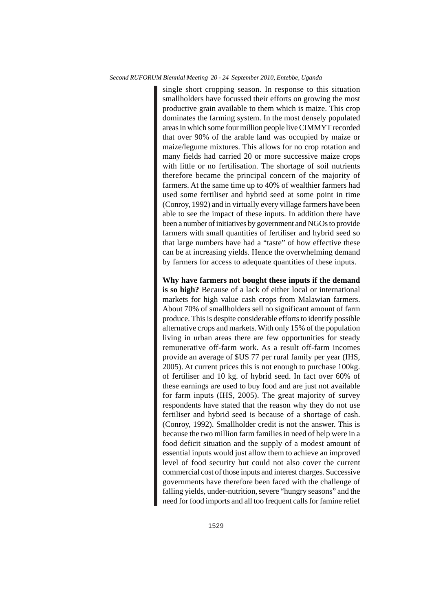#### *Second RUFORUM Biennial Meeting 20 - 24 September 2010, Entebbe, Uganda*

single short cropping season. In response to this situation smallholders have focussed their efforts on growing the most productive grain available to them which is maize. This crop dominates the farming system. In the most densely populated areas in which some four million people live CIMMYT recorded that over 90% of the arable land was occupied by maize or maize/legume mixtures. This allows for no crop rotation and many fields had carried 20 or more successive maize crops with little or no fertilisation. The shortage of soil nutrients therefore became the principal concern of the majority of farmers. At the same time up to 40% of wealthier farmers had used some fertiliser and hybrid seed at some point in time (Conroy, 1992) and in virtually every village farmers have been able to see the impact of these inputs. In addition there have been a number of initiatives by government and NGOs to provide farmers with small quantities of fertiliser and hybrid seed so that large numbers have had a "taste" of how effective these can be at increasing yields. Hence the overwhelming demand by farmers for access to adequate quantities of these inputs.

**Why have farmers not bought these inputs if the demand is so high?** Because of a lack of either local or international markets for high value cash crops from Malawian farmers. About 70% of smallholders sell no significant amount of farm produce. This is despite considerable efforts to identify possible alternative crops and markets. With only 15% of the population living in urban areas there are few opportunities for steady remunerative off-farm work. As a result off-farm incomes provide an average of \$US 77 per rural family per year (IHS, 2005). At current prices this is not enough to purchase 100kg. of fertiliser and 10 kg. of hybrid seed. In fact over 60% of these earnings are used to buy food and are just not available for farm inputs (IHS, 2005). The great majority of survey respondents have stated that the reason why they do not use fertiliser and hybrid seed is because of a shortage of cash. (Conroy, 1992). Smallholder credit is not the answer. This is because the two million farm families in need of help were in a food deficit situation and the supply of a modest amount of essential inputs would just allow them to achieve an improved level of food security but could not also cover the current commercial cost of those inputs and interest charges. Successive governments have therefore been faced with the challenge of falling yields, under-nutrition, severe "hungry seasons" and the need for food imports and all too frequent calls for famine relief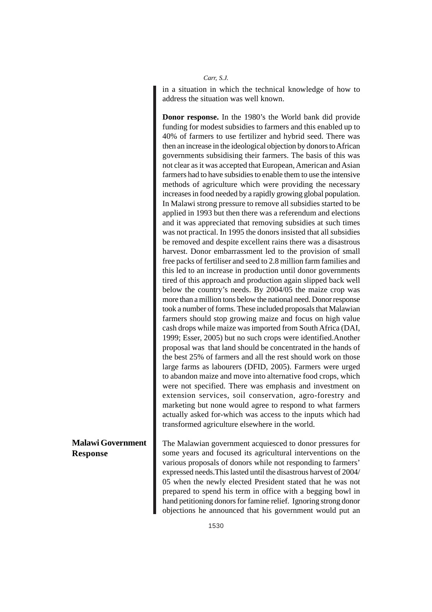in a situation in which the technical knowledge of how to address the situation was well known.

**Donor response.** In the 1980's the World bank did provide funding for modest subsidies to farmers and this enabled up to 40% of farmers to use fertilizer and hybrid seed. There was then an increase in the ideological objection by donors to African governments subsidising their farmers. The basis of this was not clear as it was accepted that European, American and Asian farmers had to have subsidies to enable them to use the intensive methods of agriculture which were providing the necessary increases in food needed by a rapidly growing global population. In Malawi strong pressure to remove all subsidies started to be applied in 1993 but then there was a referendum and elections and it was appreciated that removing subsidies at such times was not practical. In 1995 the donors insisted that all subsidies be removed and despite excellent rains there was a disastrous harvest. Donor embarrassment led to the provision of small free packs of fertiliser and seed to 2.8 million farm families and this led to an increase in production until donor governments tired of this approach and production again slipped back well below the country's needs. By 2004/05 the maize crop was more than a million tons below the national need. Donor response took a number of forms. These included proposals that Malawian farmers should stop growing maize and focus on high value cash drops while maize was imported from South Africa (DAI, 1999; Esser, 2005) but no such crops were identified.Another proposal was that land should be concentrated in the hands of the best 25% of farmers and all the rest should work on those large farms as labourers (DFID, 2005). Farmers were urged to abandon maize and move into alternative food crops, which were not specified. There was emphasis and investment on extension services, soil conservation, agro-forestry and marketing but none would agree to respond to what farmers actually asked for-which was access to the inputs which had transformed agriculture elsewhere in the world.

The Malawian government acquiesced to donor pressures for some years and focused its agricultural interventions on the various proposals of donors while not responding to farmers' expressed needs.This lasted until the disastrous harvest of 2004/ 05 when the newly elected President stated that he was not prepared to spend his term in office with a begging bowl in hand petitioning donors for famine relief. Ignoring strong donor objections he announced that his government would put an

### **Malawi Government Response**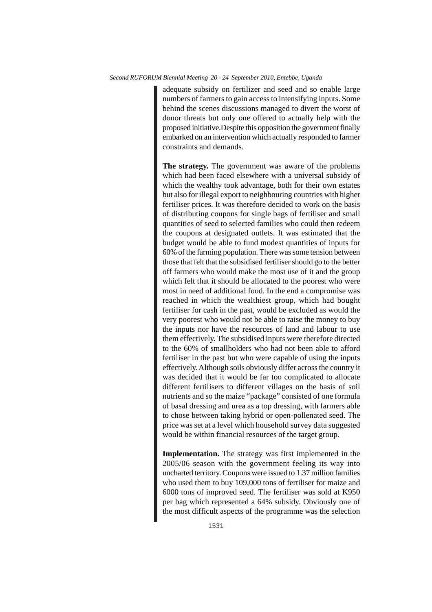adequate subsidy on fertilizer and seed and so enable large numbers of farmers to gain access to intensifying inputs. Some behind the scenes discussions managed to divert the worst of donor threats but only one offered to actually help with the proposed initiative.Despite this opposition the government finally embarked on an intervention which actually responded to farmer constraints and demands.

**The strategy.** The government was aware of the problems which had been faced elsewhere with a universal subsidy of which the wealthy took advantage, both for their own estates but also for illegal export to neighbouring countries with higher fertiliser prices. It was therefore decided to work on the basis of distributing coupons for single bags of fertiliser and small quantities of seed to selected families who could then redeem the coupons at designated outlets. It was estimated that the budget would be able to fund modest quantities of inputs for 60% of the farming population. There was some tension between those that felt that the subsidised fertiliser should go to the better off farmers who would make the most use of it and the group which felt that it should be allocated to the poorest who were most in need of additional food. In the end a compromise was reached in which the wealthiest group, which had bought fertiliser for cash in the past, would be excluded as would the very poorest who would not be able to raise the money to buy the inputs nor have the resources of land and labour to use them effectively. The subsidised inputs were therefore directed to the 60% of smallholders who had not been able to afford fertiliser in the past but who were capable of using the inputs effectively. Although soils obviously differ across the country it was decided that it would be far too complicated to allocate different fertilisers to different villages on the basis of soil nutrients and so the maize "package" consisted of one formula of basal dressing and urea as a top dressing, with farmers able to chose between taking hybrid or open-pollenated seed. The price was set at a level which household survey data suggested would be within financial resources of the target group.

**Implementation.** The strategy was first implemented in the 2005/06 season with the government feeling its way into uncharted territory. Coupons were issued to 1.37 million families who used them to buy 109,000 tons of fertiliser for maize and 6000 tons of improved seed. The fertiliser was sold at K950 per bag which represented a 64% subsidy. Obviously one of the most difficult aspects of the programme was the selection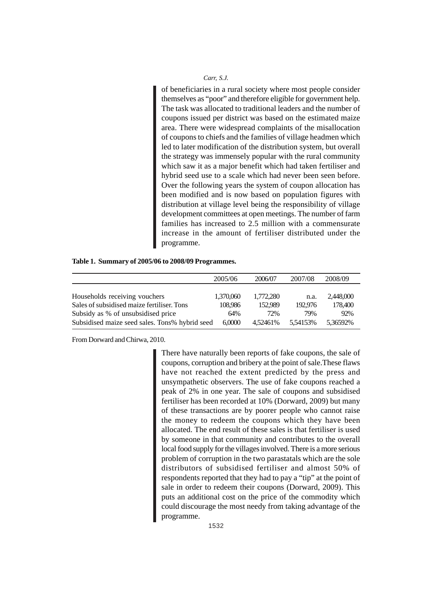of beneficiaries in a rural society where most people consider themselves as "poor" and therefore eligible for government help. The task was allocated to traditional leaders and the number of coupons issued per district was based on the estimated maize area. There were widespread complaints of the misallocation of coupons to chiefs and the families of village headmen which led to later modification of the distribution system, but overall the strategy was immensely popular with the rural community which saw it as a major benefit which had taken fertiliser and hybrid seed use to a scale which had never been seen before. Over the following years the system of coupon allocation has been modified and is now based on population figures with distribution at village level being the responsibility of village development committees at open meetings. The number of farm families has increased to 2.5 million with a commensurate increase in the amount of fertiliser distributed under the programme.

| Table 1. Summary of 2005/06 to 2008/09 Programmes. |  |  |  |  |  |
|----------------------------------------------------|--|--|--|--|--|
|----------------------------------------------------|--|--|--|--|--|

|                                                | 2005/06   | 2006/07   | 2007/08  | 2008/09   |
|------------------------------------------------|-----------|-----------|----------|-----------|
|                                                |           |           |          |           |
| Households receiving vouchers                  | 1,370,060 | 1.772.280 | n.a.     | 2.448,000 |
| Sales of subsidised maize fertiliser. Tons     | 108.986   | 152.989   | 192,976  | 178,400   |
| Subsidy as % of unsubsidised price             | 64%       | 72%       | 79%      | 92%       |
| Subsidised maize seed sales. Tons% hybrid seed | 6,0000    | 4.52461%  | 5.54153% | 5.36592%  |

From Dorward and Chirwa, 2010.

There have naturally been reports of fake coupons, the sale of coupons, corruption and bribery at the point of sale.These flaws have not reached the extent predicted by the press and unsympathetic observers. The use of fake coupons reached a peak of 2% in one year. The sale of coupons and subsidised fertiliser has been recorded at 10% (Dorward, 2009) but many of these transactions are by poorer people who cannot raise the money to redeem the coupons which they have been allocated. The end result of these sales is that fertiliser is used by someone in that community and contributes to the overall local food supply for the villages involved. There is a more serious problem of corruption in the two parastatals which are the sole distributors of subsidised fertiliser and almost 50% of respondents reported that they had to pay a "tip" at the point of sale in order to redeem their coupons (Dorward, 2009). This puts an additional cost on the price of the commodity which could discourage the most needy from taking advantage of the programme.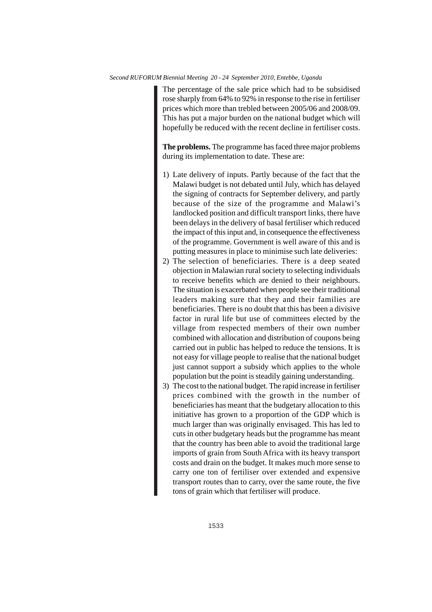The percentage of the sale price which had to be subsidised rose sharply from 64% to 92% in response to the rise in fertiliser prices which more than trebled between 2005/06 and 2008/09. This has put a major burden on the national budget which will hopefully be reduced with the recent decline in fertiliser costs.

**The problems.** The programme has faced three major problems during its implementation to date. These are:

- 1) Late delivery of inputs. Partly because of the fact that the Malawi budget is not debated until July, which has delayed the signing of contracts for September delivery, and partly because of the size of the programme and Malawi's landlocked position and difficult transport links, there have been delays in the delivery of basal fertiliser which reduced the impact of this input and, in consequence the effectiveness of the programme. Government is well aware of this and is putting measures in place to minimise such late deliveries:
- 2) The selection of beneficiaries. There is a deep seated objection in Malawian rural society to selecting individuals to receive benefits which are denied to their neighbours. The situation is exacerbated when people see their traditional leaders making sure that they and their families are beneficiaries. There is no doubt that this has been a divisive factor in rural life but use of committees elected by the village from respected members of their own number combined with allocation and distribution of coupons being carried out in public has helped to reduce the tensions. It is not easy for village people to realise that the national budget just cannot support a subsidy which applies to the whole population but the point is steadily gaining understanding.
- 3) The cost to the national budget. The rapid increase in fertiliser prices combined with the growth in the number of beneficiaries has meant that the budgetary allocation to this initiative has grown to a proportion of the GDP which is much larger than was originally envisaged. This has led to cuts in other budgetary heads but the programme has meant that the country has been able to avoid the traditional large imports of grain from South Africa with its heavy transport costs and drain on the budget. It makes much more sense to carry one ton of fertiliser over extended and expensive transport routes than to carry, over the same route, the five tons of grain which that fertiliser will produce.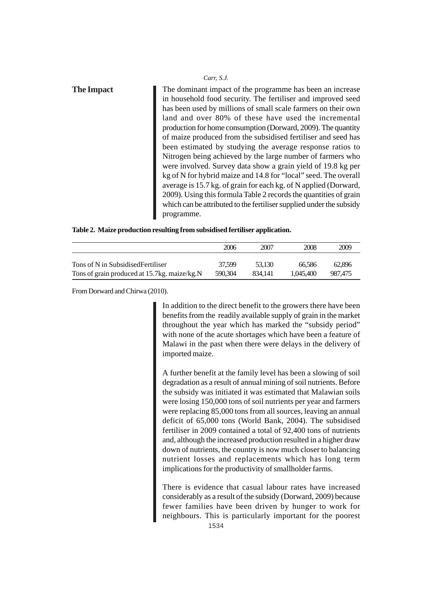| <b>The Impact</b> | The dominant impact of the programme has been an increase            |
|-------------------|----------------------------------------------------------------------|
|                   | in household food security. The fertiliser and improved seed         |
|                   | has been used by millions of small scale farmers on their own        |
|                   | land and over 80% of these have used the incremental                 |
|                   | production for home consumption (Dorward, 2009). The quantity        |
|                   | of maize produced from the subsidised fertiliser and seed has        |
|                   | been estimated by studying the average response ratios to            |
|                   | Nitrogen being achieved by the large number of farmers who           |
|                   | were involved. Survey data show a grain yield of 19.8 kg per         |
|                   | kg of N for hybrid maize and 14.8 for "local" seed. The overall      |
|                   | average is 15.7 kg. of grain for each kg. of N applied (Dorward,     |
|                   | 2009). Using this formula Table 2 records the quantities of grain    |
|                   | which can be attributed to the fertiliser supplied under the subsidy |
|                   | programme.                                                           |

**Table 2. Maize production resulting from subsidised fertiliser application.**

|                                              | 2006    | 2007    | 2008      | 2009    |
|----------------------------------------------|---------|---------|-----------|---------|
| Tons of N in Subsidised Fertiliser           | 37.599  | 53.130  | 66.586    | 62.896  |
| Tons of grain produced at 15.7kg, maize/kg.N | 590.304 | 834.141 | 1.045.400 | 987.475 |

From Dorward and Chirwa (2010).

In addition to the direct benefit to the growers there have been benefits from the readily available supply of grain in the market throughout the year which has marked the "subsidy period" with none of the acute shortages which have been a feature of Malawi in the past when there were delays in the delivery of imported maize.

A further benefit at the family level has been a slowing of soil degradation as a result of annual mining of soil nutrients. Before the subsidy was initiated it was estimated that Malawian soils were losing 150,000 tons of soil nutrients per year and farmers were replacing 85,000 tons from all sources, leaving an annual deficit of 65,000 tons (World Bank, 2004). The subsidised fertiliser in 2009 contained a total of 92,400 tons of nutrients and, although the increased production resulted in a higher draw down of nutrients, the country is now much closer to balancing nutrient losses and replacements which has long term implications for the productivity of smallholder farms.

There is evidence that casual labour rates have increased considerably as a result of the subsidy (Dorward, 2009) because fewer families have been driven by hunger to work for neighbours. This is particularly important for the poorest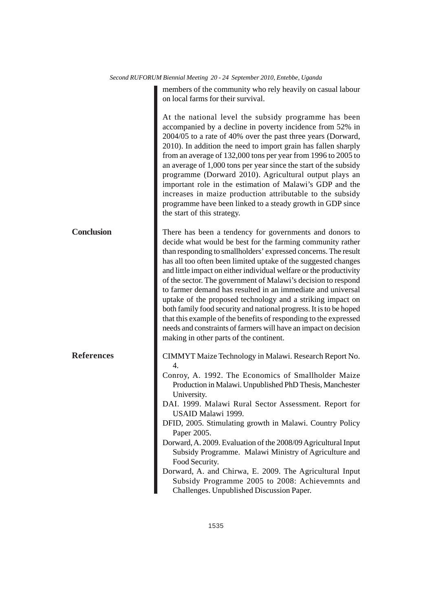|                   | members of the community who rely heavily on casual labour<br>on local farms for their survival.                                                                                                                                                                                                                                                                                                                                                                                                                                                                                                                                                                                                                                                                                        |
|-------------------|-----------------------------------------------------------------------------------------------------------------------------------------------------------------------------------------------------------------------------------------------------------------------------------------------------------------------------------------------------------------------------------------------------------------------------------------------------------------------------------------------------------------------------------------------------------------------------------------------------------------------------------------------------------------------------------------------------------------------------------------------------------------------------------------|
|                   | At the national level the subsidy programme has been<br>accompanied by a decline in poverty incidence from 52% in<br>2004/05 to a rate of 40% over the past three years (Dorward,<br>2010). In addition the need to import grain has fallen sharply<br>from an average of 132,000 tons per year from 1996 to 2005 to<br>an average of 1,000 tons per year since the start of the subsidy<br>programme (Dorward 2010). Agricultural output plays an<br>important role in the estimation of Malawi's GDP and the<br>increases in maize production attributable to the subsidy<br>programme have been linked to a steady growth in GDP since<br>the start of this strategy.                                                                                                                |
| <b>Conclusion</b> | There has been a tendency for governments and donors to<br>decide what would be best for the farming community rather<br>than responding to smallholders' expressed concerns. The result<br>has all too often been limited uptake of the suggested changes<br>and little impact on either individual welfare or the productivity<br>of the sector. The government of Malawi's decision to respond<br>to farmer demand has resulted in an immediate and universal<br>uptake of the proposed technology and a striking impact on<br>both family food security and national progress. It is to be hoped<br>that this example of the benefits of responding to the expressed<br>needs and constraints of farmers will have an impact on decision<br>making in other parts of the continent. |
| <b>References</b> | CIMMYT Maize Technology in Malawi. Research Report No.<br>4.<br>Conroy, A. 1992. The Economics of Smallholder Maize<br>Production in Malawi. Unpublished PhD Thesis, Manchester<br>University.<br>DAI. 1999. Malawi Rural Sector Assessment. Report for<br>USAID Malawi 1999.<br>DFID, 2005. Stimulating growth in Malawi. Country Policy<br>Paper 2005.<br>Dorward, A. 2009. Evaluation of the 2008/09 Agricultural Input<br>Subsidy Programme. Malawi Ministry of Agriculture and<br>Food Security.<br>Dorward, A. and Chirwa, E. 2009. The Agricultural Input<br>Subsidy Programme 2005 to 2008: Achievemnts and<br>Challenges. Unpublished Discussion Paper.                                                                                                                        |

*Second RUFORUM Biennial Meeting 20 - 24 September 2010, Entebbe, Uganda*